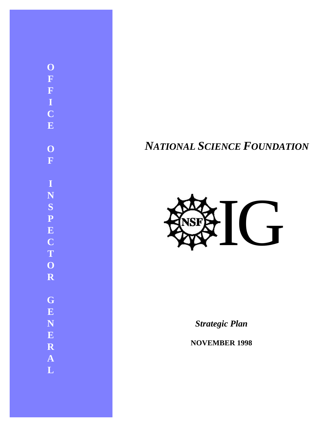### **O F F I C E O F I N S P E C T O R G E N E R A L**

### *NATIONAL SCIENCE FOUNDATION*



*Strategic Plan*

**NOVEMBER 1998**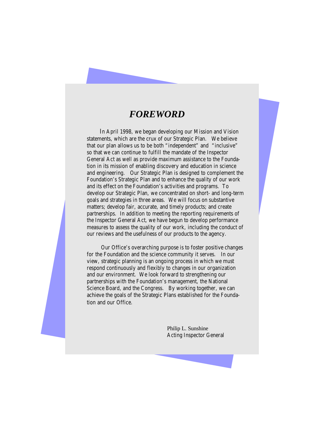#### *FOREWORD*

In April 1998, we began developing our Mission and Vision statements, which are the crux of our Strategic Plan. We believe that our plan allows us to be both "independent" and "inclusive" so that we can continue to fulfill the mandate of the Inspector General Act as well as provide maximum assistance to the Foundation in its mission of enabling discovery and education in science and engineering. Our Strategic Plan is designed to complement the Foundation's Strategic Plan and to enhance the quality of our work and its effect on the Foundation's activities and programs. To develop our Strategic Plan, we concentrated on short- and long-term goals and strategies in three areas. We will focus on substantive matters; develop fair, accurate, and timely products; and create partnerships. In addition to meeting the reporting requirements of the Inspector General Act, we have begun to develop performance measures to assess the quality of our work, including the conduct of our reviews and the usefulness of our products to the agency.

Our Office's overarching purpose is to foster positive changes for the Foundation and the science community it serves. In our view, strategic planning is an ongoing process in which we must respond continuously and flexibly to changes in our organization and our environment. We look forward to strengthening our partnerships with the Foundation's management, the National Science Board, and the Congress. By working together, we can achieve the goals of the Strategic Plans established for the Foundation and our Office.

> Philip L. Sunshine Acting Inspector General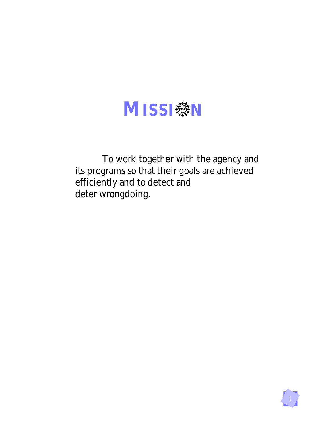

To work together with the agency and its programs so that their goals are achieved efficiently and to detect and deter wrongdoing.

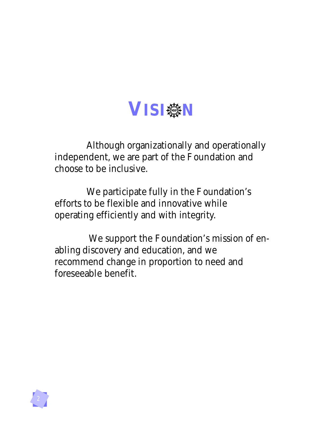

Although organizationally and operationally independent, we are part of the Foundation and choose to be inclusive.

We participate fully in the Foundation's efforts to be flexible and innovative while operating efficiently and with integrity.

We support the Foundation's mission of enabling discovery and education, and we recommend change in proportion to need and foreseeable benefit.

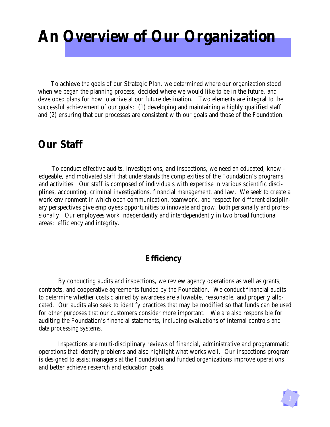## **An Overview of Our Organization**

To achieve the goals of our Strategic Plan, we determined where our organization stood when we began the planning process, decided where we would like to be in the future, and developed plans for how to arrive at our future destination. Two elements are integral to the successful achievement of our goals: (1) developing and maintaining a highly qualified staff and (2) ensuring that our processes are consistent with our goals and those of the Foundation.

### **Our Staff**

To conduct effective audits, investigations, and inspections, we need an educated, knowledgeable, and motivated staff that understands the complexities of the Foundation's programs and activities. Our staff is composed of individuals with expertise in various scientific disciplines, accounting, criminal investigations, financial management, and law. We seek to create a work environment in which open communication, teamwork, and respect for different disciplinary perspectives give employees opportunities to innovate and grow, both personally and professionally. Our employees work independently and interdependently in two broad functional areas: efficiency and integrity.

### **Efficiency**

By conducting audits and inspections, we review agency operations as well as grants, contracts, and cooperative agreements funded by the Foundation. We conduct financial audits to determine whether costs claimed by awardees are allowable, reasonable, and properly allocated. Our audits also seek to identify practices that may be modified so that funds can be used for other purposes that our customers consider more important. We are also responsible for auditing the Foundation's financial statements, including evaluations of internal controls and data processing systems.

Inspections are multi-disciplinary reviews of financial, administrative and programmatic operations that identify problems and also highlight what works well. Our inspections program is designed to assist managers at the Foundation and funded organizations improve operations and better achieve research and education goals.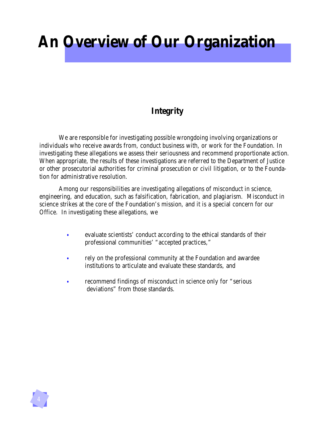### **An Overview of Our Organization**

### **Integrity**

We are responsible for investigating possible wrongdoing involving organizations or individuals who receive awards from, conduct business with, or work for the Foundation. In investigating these allegations we assess their seriousness and recommend proportionate action. When appropriate, the results of these investigations are referred to the Department of Justice or other prosecutorial authorities for criminal prosecution or civil litigation, or to the Foundation for administrative resolution.

Among our responsibilities are investigating allegations of misconduct in science, engineering, and education, such as falsification, fabrication, and plagiarism. Misconduct in science strikes at the core of the Foundation's mission, and it is a special concern for our Office. In investigating these allegations, we

- evaluate scientists' conduct according to the ethical standards of their professional communities' "accepted practices," *•*
- rely on the professional community at the Foundation and awardee institutions to articulate and evaluate these standards, and *•*
- recommend findings of misconduct in science only for "serious" deviations" from those standards. *•*

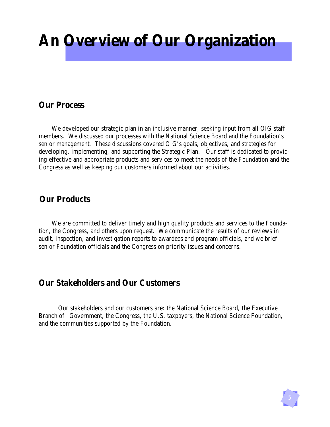### **An Overview of Our Organization**

### **Our Process**

We developed our strategic plan in an inclusive manner, seeking input from all OIG staff members. We discussed our processes with the National Science Board and the Foundation's senior management. These discussions covered OIG's goals, objectives, and strategies for developing, implementing, and supporting the Strategic Plan. Our staff is dedicated to providing effective and appropriate products and services to meet the needs of the Foundation and the Congress as well as keeping our customers informed about our activities.

### **Our Products**

We are committed to deliver timely and high quality products and services to the Foundation, the Congress, and others upon request. We communicate the results of our reviews in audit, inspection, and investigation reports to awardees and program officials, and we brief senior Foundation officials and the Congress on priority issues and concerns.

### **Our Stakeholders and Our Customers**

Our stakeholders and our customers are: the National Science Board, the Executive Branch of Government, the Congress, the U.S. taxpayers, the National Science Foundation, and the communities supported by the Foundation.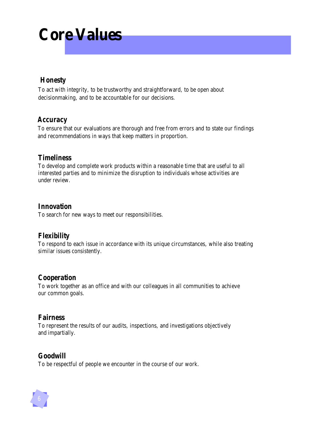# **Core Values**

### *Honesty*

To act with integrity, to be trustworthy and straightforward, to be open about decisionmaking, and to be accountable for our decisions.

### *Accuracy*

 To ensure that our evaluations are thorough and free from errors and to state our findings and recommendations in ways that keep matters in proportion.

#### *Timeliness*

To develop and complete work products within a reasonable time that are useful to all interested parties and to minimize the disruption to individuals whose activities are under review.

#### *Innovation*

To search for new ways to meet our responsibilities.

### *Flexibility*

To respond to each issue in accordance with its unique circumstances, while also treating similar issues consistently.

### *Cooperation*

To work together as an office and with our colleagues in all communities to achieve our common goals.

### *Fairness*

To represent the results of our audits, inspections, and investigations objectively and impartially.

### *Goodwill*

To be respectful of people we encounter in the course of our work.

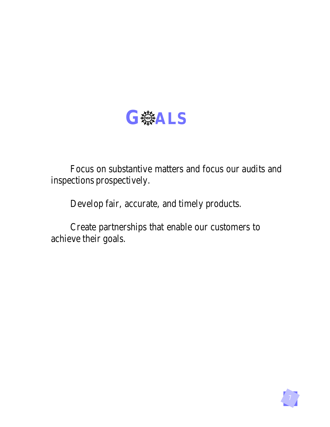

Focus on substantive matters and focus our audits and inspections prospectively.

Develop fair, accurate, and timely products.

Create partnerships that enable our customers to achieve their goals.

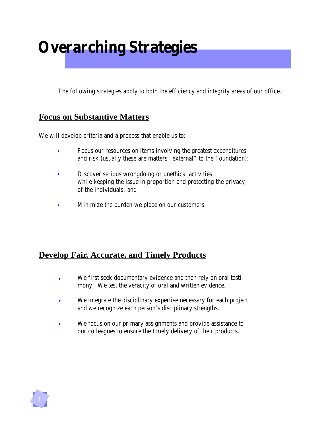### **Overarching Strategies**

The following strategies apply to both the efficiency and integrity areas of our office.

### **Focus on Substantive Matters**

We will develop criteria and a process that enable us to:

- Focus our resources on items involving the greatest expenditures and risk (usually these are matters "external" to the Foundation); *•*
- Discover serious wrongdoing or unethical activities while keeping the issue in proportion and protecting the privacy of the individuals; and *•*
- Minimize the burden we place on our customers. *•*

### **Develop Fair, Accurate, and Timely Products**

- We first seek documentary evidence and then rely on oral testimony. We test the veracity of oral and written evidence. *•*
- We integrate the disciplinary expertise necessary for each project and we recognize each person's disciplinary strengths. *•*
- We focus on our primary assignments and provide assistance to our colleagues to ensure the timely delivery of their products. *•*

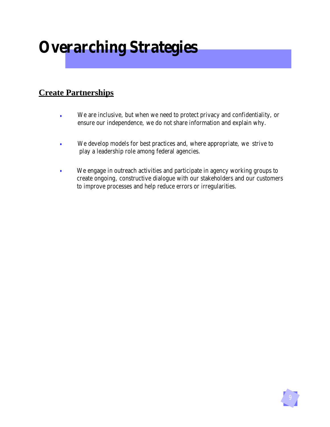## **Overarching Strategies**

### **Create Partnerships**

- We are inclusive, but when we need to protect privacy and confidentiality, or ensure our independence, we do not share information and explain why. *•*
- We develop models for best practices and, where appropriate, we strive to play a leadership role among federal agencies. *•*
- We engage in outreach activities and participate in agency working groups to create ongoing, constructive dialogue with our stakeholders and our customers to improve processes and help reduce errors or irregularities. *•*

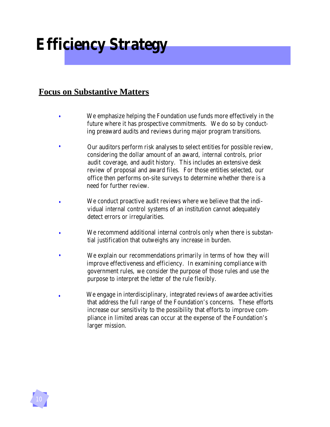## **Efficiency Strategy**

### **Focus on Substantive Matters**

- We emphasize helping the Foundation use funds more effectively in the future where it has prospective commitments. We do so by conduct ing preaward audits and reviews during major program transitions. *•*
- Our auditors perform risk analyses to select entities for possible review, considering the dollar amount of an award, internal controls, prior audit coverage, and audit history. This includes an extensive desk review of proposal and award files. For those entities selected, our office then performs on-site surveys to determine whether there is a need for further review. *•*
- We conduct proactive audit reviews where we believe that the indi vidual internal control systems of an institution cannot adequately detect errors or irregularities. *•*
- We recommend additional internal controls only when there is substan tial justification that outweighs any increase in burden. *•*
- We explain our recommendations primarily in terms of how they will improve effectiveness and efficiency. In examining compliance with government rules, we consider the purpose of those rules and use the purpose to interpret the letter of the rule flexibly. *•*
- We engage in interdisciplinary, integrated reviews of awardee activities that address the full range of the Foundation's concerns. These efforts increase our sensitivity to the possibility that efforts to improve com pliance in limited areas can occur at the expense of the Foundation's larger mission. *•*

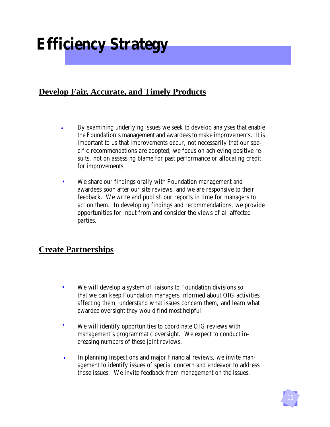## **Efficiency Strategy**

### **Develop Fair, Accurate, and Timely Products**

- By examining underlying issues we seek to develop analyses that enable the Foundation's management and awardees to make improvements. It is important to us that improvements occur, not necessarily that our specific recommendations are adopted; we focus on achieving positive results, not on assessing blame for past performance or allocating credit for improvements. *•*
- We share our findings orally with Foundation management and awardees soon after our site reviews, and we are responsive to their feedback. We write and publish our reports in time for managers to act on them. In developing findings and recommendations, we provide opportunities for input from and consider the views of all affected parties. *•*

### **Create Partnerships**

- We will develop a system of liaisons to Foundation divisions so that we can keep Foundation managers informed about OIG activities affecting them, understand what issues concern them, and learn what awardee oversight they would find most helpful. *•*
- We will identify opportunities to coordinate OIG reviews with management's programmatic oversight. We expect to conduct increasing numbers of these joint reviews. *•*
- In planning inspections and major financial reviews, we invite management to identify issues of special concern and endeavor to address those issues. We invite feedback from management on the issues. *•*

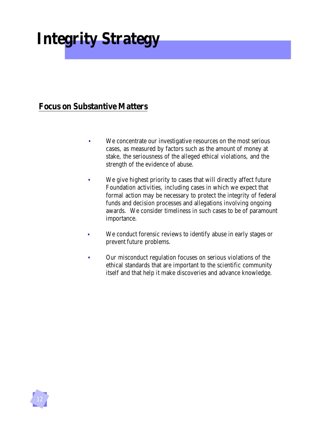# **Integrity Strategy**

### **Focus on Substantive Matters**

- We concentrate our investigative resources on the most serious cases, as measured by factors such as the amount of money at stake, the seriousness of the alleged ethical violations, and the strength of the evidence of abuse. *•*
- We give highest priority to cases that will directly affect future Foundation activities, including cases in which we expect that formal action may be necessary to protect the integrity of federal funds and decision processes and allegations involving ongoing awards. We consider timeliness in such cases to be of paramount importance. *•*
- We conduct forensic reviews to identify abuse in early stages or prevent future problems. *•*
- Our misconduct regulation focuses on serious violations of the ethical standards that are important to the scientific community itself and that help it make discoveries and advance knowledge. *•*

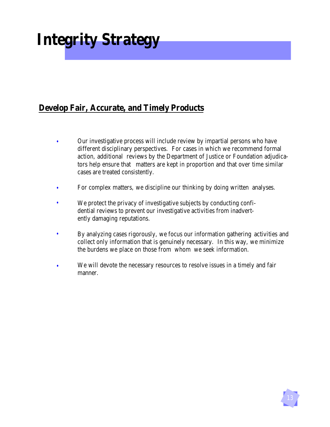# **Integrity Strategy**

### **Develop Fair, Accurate, and Timely Products**

- Our investigative process will include review by impartial persons who have different disciplinary perspectives. For cases in which we recommend formal action, additional reviews by the Department of Justice or Foundation adjudicators help ensure that matters are kept in proportion and that over time similar cases are treated consistently. *•*
- For complex matters, we discipline our thinking by doing written analyses. *•*
- We protect the privacy of investigative subjects by conducting confidential reviews to prevent our investigative activities from inadvertently damaging reputations. *•*
- By analyzing cases rigorously, we focus our information gathering activities and collect only information that is genuinely necessary. In this way, we minimize the burdens we place on those from whom we seek information. *•*
- We will devote the necessary resources to resolve issues in a timely and fair manner. *•*

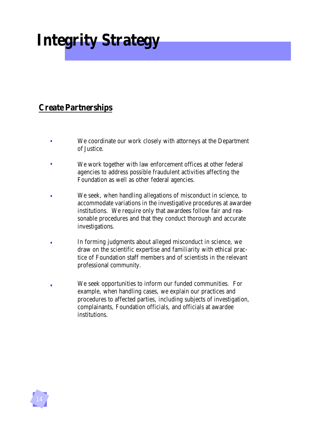# **Integrity Strategy**

### **Create Partnerships**

- *•* We coordinate our work closely with attorneys at the Department of Justice. *•*
- *•* We work together with law enforcement offices at other federal agencies to address possible fraudulent activities affecting the Foundation as well as other federal agencies. *•*
- We seek, when handling allegations of misconduct in science, to accommodate variations in the investigative procedures at awardee institutions. We require only that awardees follow fair and reasonable procedures and that they conduct thorough and accurate investigations. *•*
- In forming judgments about alleged misconduct in science, we draw on the scientific expertise and familiarity with ethical practice of Foundation staff members and of scientists in the relevant professional community. *•*
- We seek opportunities to inform our funded communities. For example, when handling cases, we explain our practices and procedures to affected parties, including subjects of investigation, complainants, Foundation officials, and officials at awardee institutions. *•*

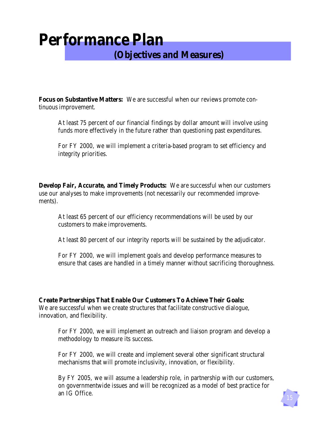### **Performance Plan (Objectives and Measures)**

**Focus on Substantive Matters:** We are successful when our reviews promote continuous improvement.

At least 75 percent of our financial findings by dollar amount will involve using funds more effectively in the future rather than questioning past expenditures.

For FY 2000, we will implement a criteria-based program to set efficiency and integrity priorities.

**Develop Fair, Accurate, and Timely Products:** We are successful when our customers use our analyses to make improvements (not necessarily our recommended improvements).

At least 65 percent of our efficiency recommendations will be used by our customers to make improvements.

At least 80 percent of our integrity reports will be sustained by the adjudicator.

For FY 2000, we will implement goals and develop performance measures to ensure that cases are handled in a timely manner without sacrificing thoroughness.

#### **Create Partnerships That Enable Our Customers To Achieve Their Goals:**

We are successful when we create structures that facilitate constructive dialogue, innovation, and flexibility.

For FY 2000, we will implement an outreach and liaison program and develop a methodology to measure its success.

For FY 2000, we will create and implement several other significant structural mechanisms that will promote inclusivity, innovation, or flexibility.

By FY 2005, we will assume a leadership role, in partnership with our customers, on governmentwide issues and will be recognized as a model of best practice for an IG Office.